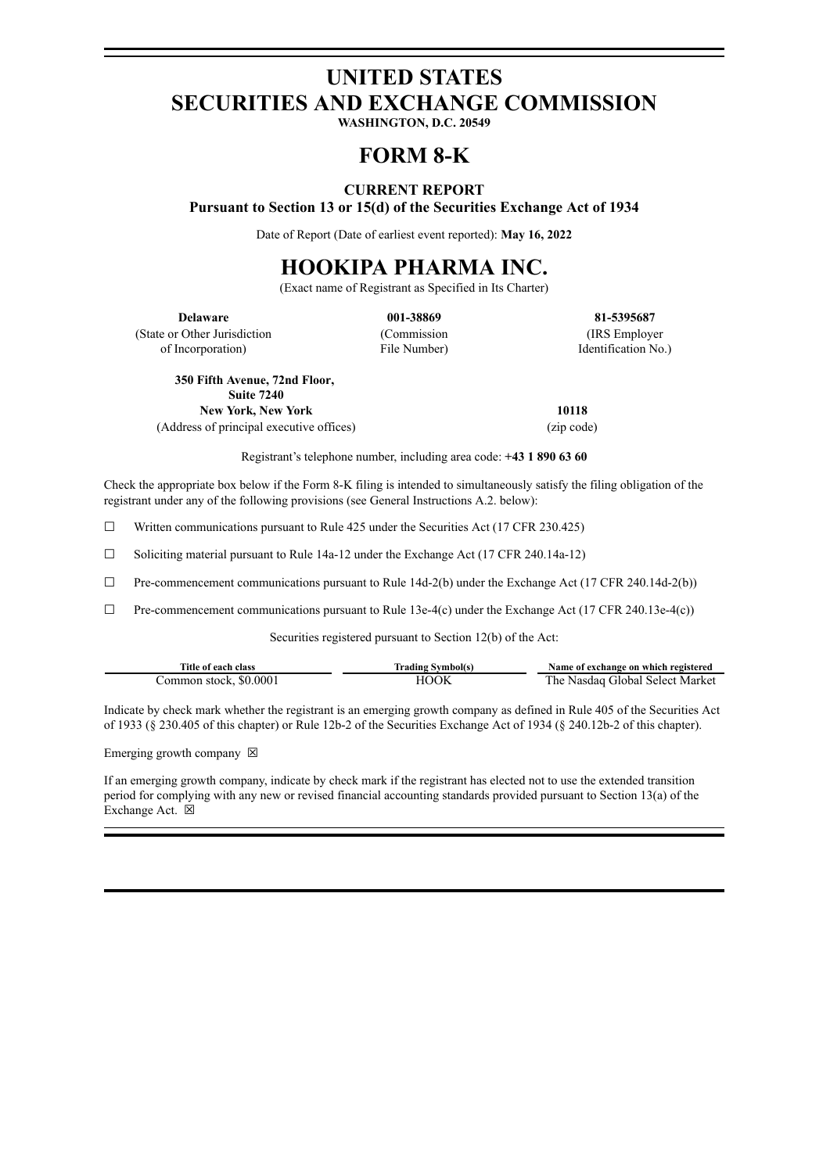# **UNITED STATES SECURITIES AND EXCHANGE COMMISSION**

**WASHINGTON, D.C. 20549**

## **FORM 8-K**

**CURRENT REPORT Pursuant to Section 13 or 15(d) of the Securities Exchange Act of 1934**

Date of Report (Date of earliest event reported): **May 16, 2022**

## **HOOKIPA PHARMA INC.**

(Exact name of Registrant as Specified in Its Charter)

(State or Other Jurisdiction of Incorporation)

(Commission File Number)

**Delaware 001-38869 81-5395687** (IRS Employer Identification No.)

**350 Fifth Avenue, 72nd Floor,**

**Suite 7240**

**New York, New York 10118** (Address of principal executive offices) (zip code)

Registrant's telephone number, including area code: **+43 1 890 63 60**

Check the appropriate box below if the Form 8-K filing is intended to simultaneously satisfy the filing obligation of the registrant under any of the following provisions (see General Instructions A.2. below):

 $\Box$  Written communications pursuant to Rule 425 under the Securities Act (17 CFR 230.425)

 $\Box$  Soliciting material pursuant to Rule 14a-12 under the Exchange Act (17 CFR 240.14a-12)

 $\Box$  Pre-commencement communications pursuant to Rule 14d-2(b) under the Exchange Act (17 CFR 240.14d-2(b))

 $\Box$  Pre-commencement communications pursuant to Rule 13e-4(c) under the Exchange Act (17 CFR 240.13e-4(c))

Securities registered pursuant to Section 12(b) of the Act:

| Title of each class    | <b>Trading Symbol(s)</b> | Name of exchange on which registered |
|------------------------|--------------------------|--------------------------------------|
| Common stock, \$0.0001 | <b>HOOK</b>              | The Nasdaq Global Select Market      |

Indicate by check mark whether the registrant is an emerging growth company as defined in Rule 405 of the Securities Act of 1933 (§ 230.405 of this chapter) or Rule 12b-2 of the Securities Exchange Act of 1934 (§ 240.12b-2 of this chapter).

Emerging growth company  $\boxtimes$ 

If an emerging growth company, indicate by check mark if the registrant has elected not to use the extended transition period for complying with any new or revised financial accounting standards provided pursuant to Section 13(a) of the Exchange Act.  $\boxtimes$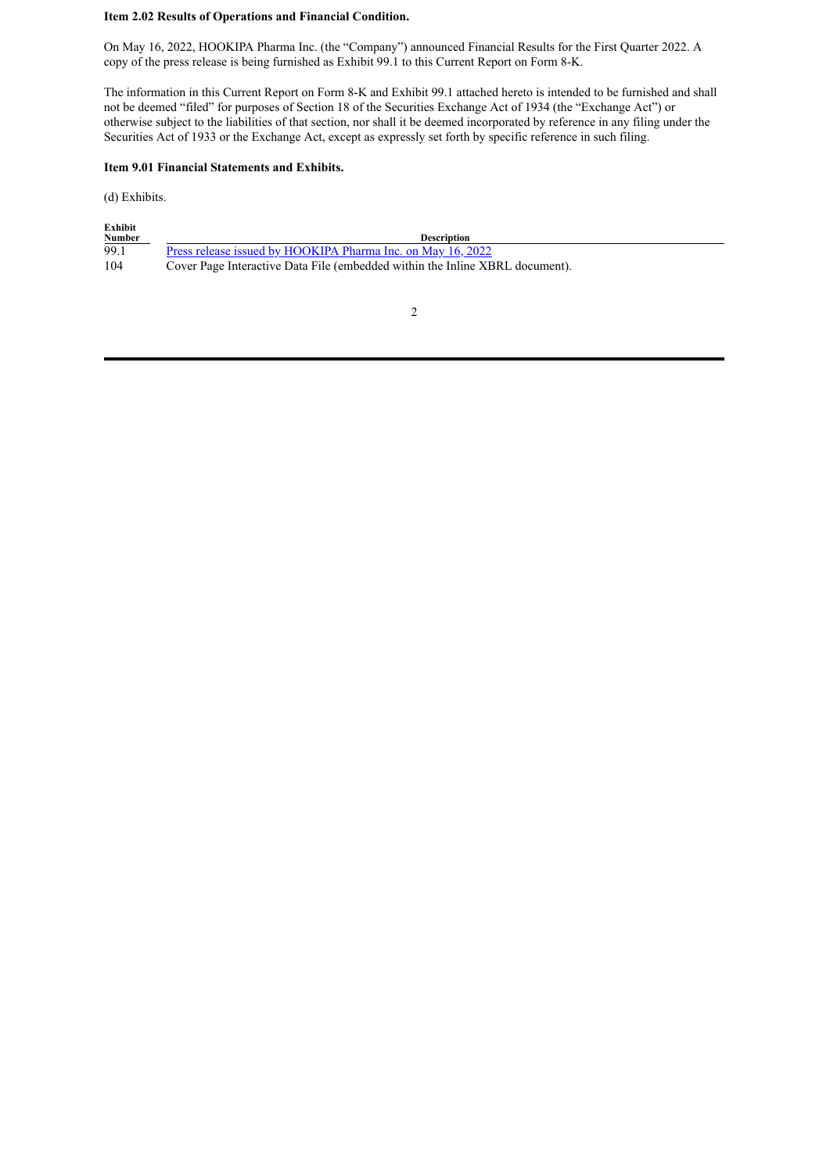#### **Item 2.02 Results of Operations and Financial Condition.**

On May 16, 2022, HOOKIPA Pharma Inc. (the "Company") announced Financial Results for the First Quarter 2022. A copy of the press release is being furnished as Exhibit 99.1 to this Current Report on Form 8-K.

The information in this Current Report on Form 8-K and Exhibit 99.1 attached hereto is intended to be furnished and shall not be deemed "filed" for purposes of Section 18 of the Securities Exchange Act of 1934 (the "Exchange Act") or otherwise subject to the liabilities of that section, nor shall it be deemed incorporated by reference in any filing under the Securities Act of 1933 or the Exchange Act, except as expressly set forth by specific reference in such filing.

#### **Item 9.01 Financial Statements and Exhibits.**

(d) Exhibits.

| <b>Exhibit</b><br>Number | <b>Description</b>                                                           |
|--------------------------|------------------------------------------------------------------------------|
| 99.1                     | Press release issued by HOOKIPA Pharma Inc. on May 16, 2022                  |
| 104                      | Cover Page Interactive Data File (embedded within the Inline XBRL document). |

2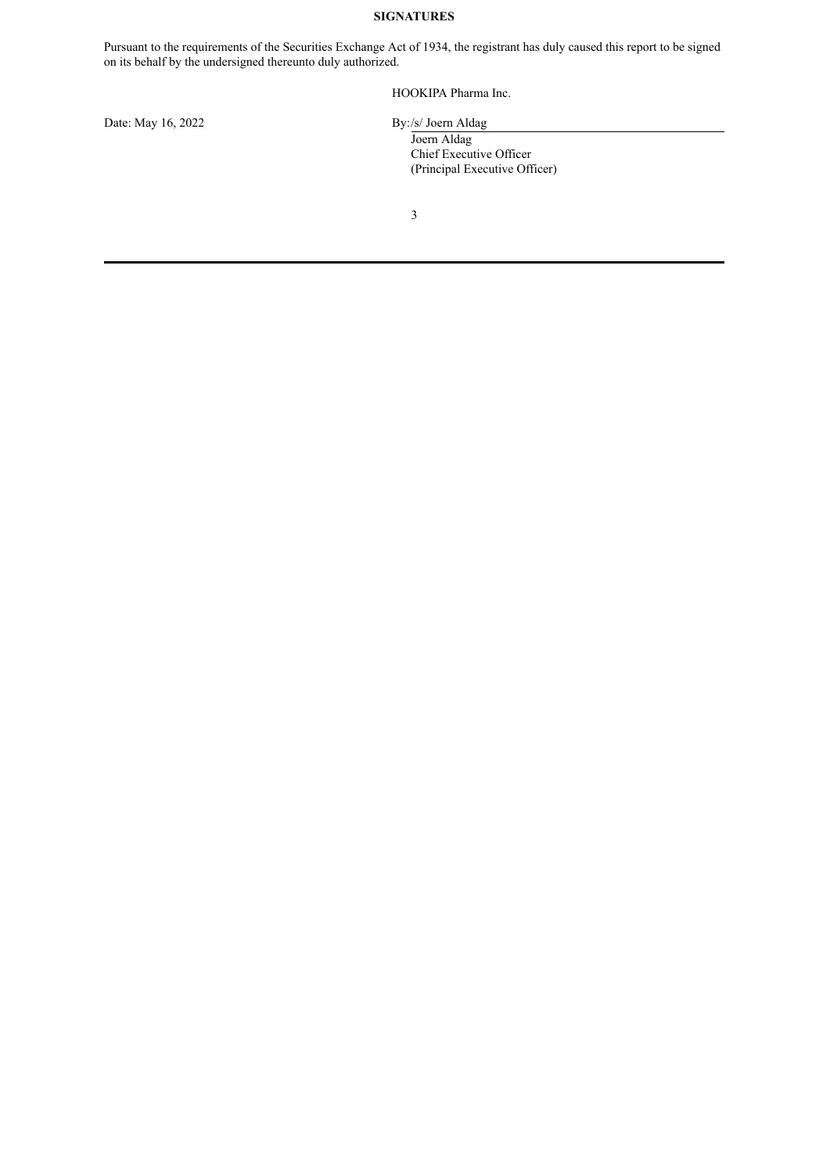## **SIGNATURES**

Pursuant to the requirements of the Securities Exchange Act of 1934, the registrant has duly caused this report to be signed on its behalf by the undersigned thereunto duly authorized.

HOOKIPA Pharma Inc.

Date: May 16, 2022 By:/s/ Joern Aldag Joern Aldag

Chief Executive Officer (Principal Executive Officer)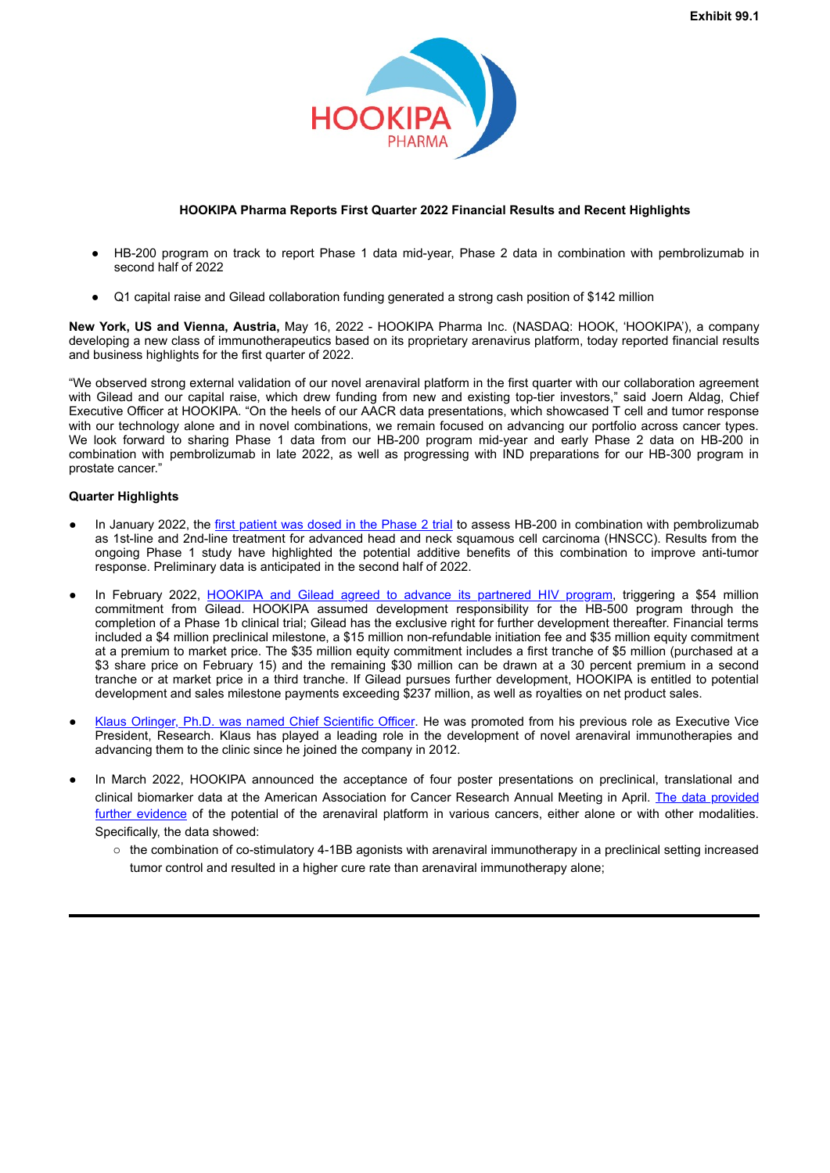

## **HOOKIPA Pharma Reports First Quarter 2022 Financial Results and Recent Highlights**

- <span id="page-3-0"></span>HB-200 program on track to report Phase 1 data mid-year, Phase 2 data in combination with pembrolizumab in second half of 2022
- Q1 capital raise and Gilead collaboration funding generated a strong cash position of \$142 million

**New York, US and Vienna, Austria,** May 16, 2022 - HOOKIPA Pharma Inc. (NASDAQ: HOOK, 'HOOKIPA'), a company developing a new class of immunotherapeutics based on its proprietary arenavirus platform, today reported financial results and business highlights for the first quarter of 2022.

"We observed strong external validation of our novel arenaviral platform in the first quarter with our collaboration agreement with Gilead and our capital raise, which drew funding from new and existing top-tier investors," said Joern Aldag, Chief Executive Officer at HOOKIPA. "On the heels of our AACR data presentations, which showcased T cell and tumor response with our technology alone and in novel combinations, we remain focused on advancing our portfolio across cancer types. We look forward to sharing Phase 1 data from our HB-200 program mid-year and early Phase 2 data on HB-200 in combination with pembrolizumab in late 2022, as well as progressing with IND preparations for our HB-300 program in prostate cancer."

### **Quarter Highlights**

- In January 2022, the first patient was dosed in the Phase 2 trial to assess HB-200 in combination with pembrolizumab as 1st-line and 2nd-line treatment for advanced head and neck squamous cell carcinoma (HNSCC). Results from the ongoing Phase 1 study have highlighted the potential additive benefits of this combination to improve anti-tumor response. Preliminary data is anticipated in the second half of 2022.
- In February 2022, HOOKIPA and Gilead agreed to advance its partnered HIV program, triggering a \$54 million commitment from Gilead. HOOKIPA assumed development responsibility for the HB-500 program through the completion of a Phase 1b clinical trial; Gilead has the exclusive right for further development thereafter. Financial terms included a \$4 million preclinical milestone, a \$15 million non-refundable initiation fee and \$35 million equity commitment at a premium to market price. The \$35 million equity commitment includes a first tranche of \$5 million (purchased at a \$3 share price on February 15) and the remaining \$30 million can be drawn at a 30 percent premium in a second tranche or at market price in a third tranche. If Gilead pursues further development, HOOKIPA is entitled to potential development and sales milestone payments exceeding \$237 million, as well as royalties on net product sales.
- Klaus Orlinger, Ph.D. was named Chief Scientific Officer. He was promoted from his previous role as Executive Vice President, Research. Klaus has played a leading role in the development of novel arenaviral immunotherapies and advancing them to the clinic since he joined the company in 2012.
- In March 2022, HOOKIPA announced the acceptance of four poster presentations on preclinical, translational and clinical biomarker data at the American Association for Cancer Research Annual Meeting in April. The data provided further evidence of the potential of the arenaviral platform in various cancers, either alone or with other modalities. Specifically, the data showed:
	- o the combination of co-stimulatory 4-1BB agonists with arenaviral immunotherapy in a preclinical setting increased tumor control and resulted in a higher cure rate than arenaviral immunotherapy alone;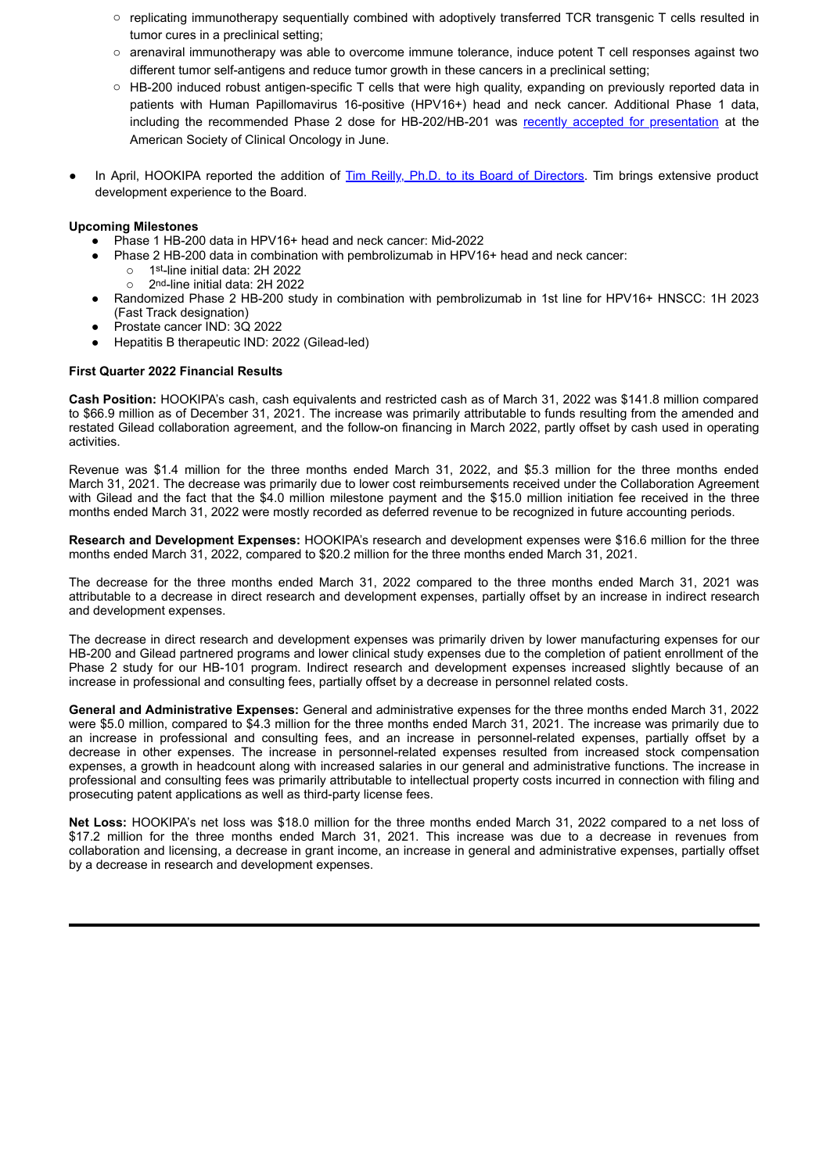- o replicating immunotherapy sequentially combined with adoptively transferred TCR transgenic T cells resulted in tumor cures in a preclinical setting;
- o arenaviral immunotherapy was able to overcome immune tolerance, induce potent T cell responses against two different tumor self-antigens and reduce tumor growth in these cancers in a preclinical setting;
- o HB-200 induced robust antigen-specific T cells that were high quality, expanding on previously reported data in patients with Human Papillomavirus 16-positive (HPV16+) head and neck cancer. Additional Phase 1 data, including the recommended Phase 2 dose for HB-202/HB-201 was recently accepted for presentation at the American Society of Clinical Oncology in June.
- In April, HOOKIPA reported the addition of Tim Reilly, Ph.D. to its Board of Directors. Tim brings extensive product development experience to the Board.

#### **Upcoming Milestones**

- Phase 1 HB-200 data in HPV16+ head and neck cancer: Mid-2022
- Phase 2 HB-200 data in combination with pembrolizumab in HPV16+ head and neck cancer:
	- o 1st-line initial data: 2H 2022
	- o 2nd-line initial data: 2H 2022
- Randomized Phase 2 HB-200 study in combination with pembrolizumab in 1st line for HPV16+ HNSCC: 1H 2023 (Fast Track designation)
- Prostate cancer IND: 3Q 2022
- Hepatitis B therapeutic IND: 2022 (Gilead-led)

#### **First Quarter 2022 Financial Results**

**Cash Position:** HOOKIPA's cash, cash equivalents and restricted cash as of March 31, 2022 was \$141.8 million compared to \$66.9 million as of December 31, 2021. The increase was primarily attributable to funds resulting from the amended and restated Gilead collaboration agreement, and the follow-on financing in March 2022, partly offset by cash used in operating activities.

Revenue was \$1.4 million for the three months ended March 31, 2022, and \$5.3 million for the three months ended March 31, 2021. The decrease was primarily due to lower cost reimbursements received under the Collaboration Agreement with Gilead and the fact that the \$4.0 million milestone payment and the \$15.0 million initiation fee received in the three months ended March 31, 2022 were mostly recorded as deferred revenue to be recognized in future accounting periods.

**Research and Development Expenses:** HOOKIPA's research and development expenses were \$16.6 million for the three months ended March 31, 2022, compared to \$20.2 million for the three months ended March 31, 2021.

The decrease for the three months ended March 31, 2022 compared to the three months ended March 31, 2021 was attributable to a decrease in direct research and development expenses, partially offset by an increase in indirect research and development expenses.

The decrease in direct research and development expenses was primarily driven by lower manufacturing expenses for our HB-200 and Gilead partnered programs and lower clinical study expenses due to the completion of patient enrollment of the Phase 2 study for our HB-101 program. Indirect research and development expenses increased slightly because of an increase in professional and consulting fees, partially offset by a decrease in personnel related costs.

**General and Administrative Expenses:** General and administrative expenses for the three months ended March 31, 2022 were \$5.0 million, compared to \$4.3 million for the three months ended March 31, 2021. The increase was primarily due to an increase in professional and consulting fees, and an increase in personnel-related expenses, partially offset by a decrease in other expenses. The increase in personnel-related expenses resulted from increased stock compensation expenses, a growth in headcount along with increased salaries in our general and administrative functions. The increase in professional and consulting fees was primarily attributable to intellectual property costs incurred in connection with filing and prosecuting patent applications as well as third-party license fees.

**Net Loss:** HOOKIPA's net loss was \$18.0 million for the three months ended March 31, 2022 compared to a net loss of \$17.2 million for the three months ended March 31, 2021. This increase was due to a decrease in revenues from collaboration and licensing, a decrease in grant income, an increase in general and administrative expenses, partially offset by a decrease in research and development expenses.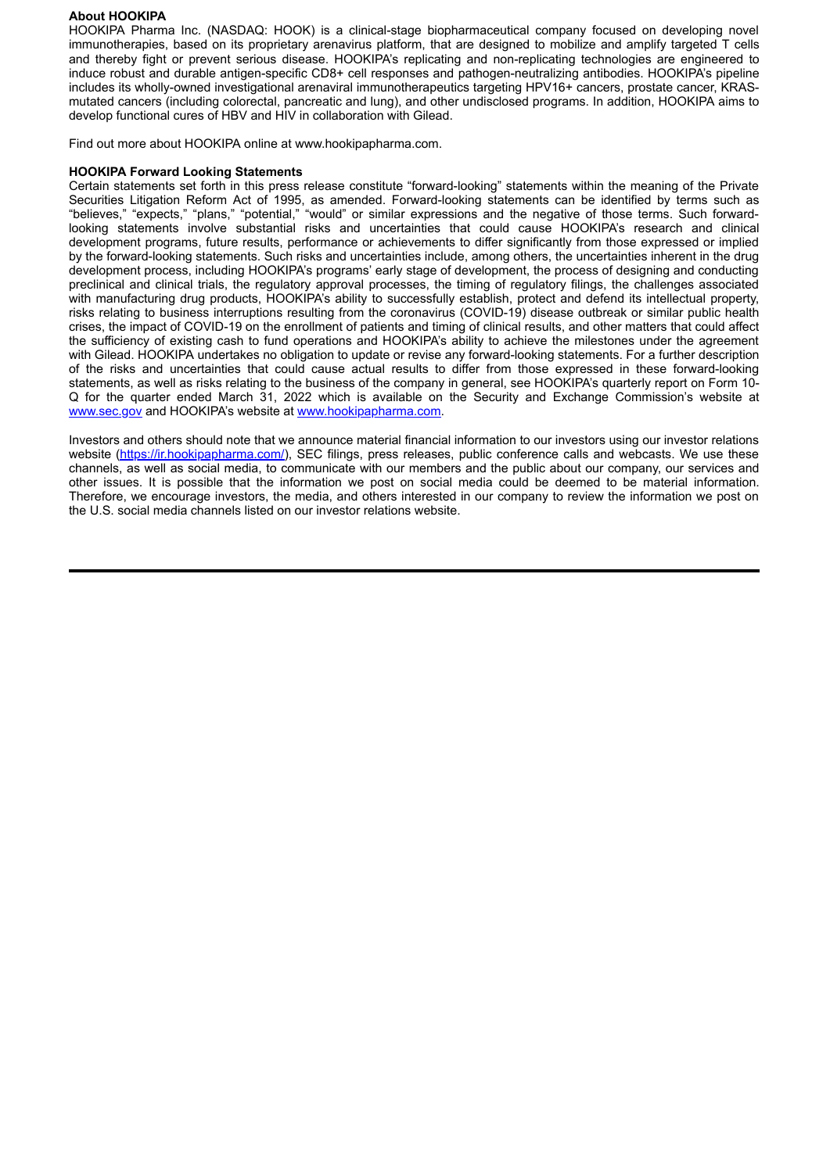#### **About HOOKIPA**

HOOKIPA Pharma Inc. (NASDAQ: HOOK) is a clinical-stage biopharmaceutical company focused on developing novel immunotherapies, based on its proprietary arenavirus platform, that are designed to mobilize and amplify targeted T cells and thereby fight or prevent serious disease. HOOKIPA's replicating and non-replicating technologies are engineered to induce robust and durable antigen-specific CD8+ cell responses and pathogen-neutralizing antibodies. HOOKIPA's pipeline includes its wholly-owned investigational arenaviral immunotherapeutics targeting HPV16+ cancers, prostate cancer, KRASmutated cancers (including colorectal, pancreatic and lung), and other undisclosed programs. In addition, HOOKIPA aims to develop functional cures of HBV and HIV in collaboration with Gilead.

Find out more about HOOKIPA online at www.hookipapharma.com.

#### **HOOKIPA Forward Looking Statements**

Certain statements set forth in this press release constitute "forward-looking" statements within the meaning of the Private Securities Litigation Reform Act of 1995, as amended. Forward-looking statements can be identified by terms such as "believes," "expects," "plans," "potential," "would" or similar expressions and the negative of those terms. Such forwardlooking statements involve substantial risks and uncertainties that could cause HOOKIPA's research and clinical development programs, future results, performance or achievements to differ significantly from those expressed or implied by the forward-looking statements. Such risks and uncertainties include, among others, the uncertainties inherent in the drug development process, including HOOKIPA's programs' early stage of development, the process of designing and conducting preclinical and clinical trials, the regulatory approval processes, the timing of regulatory filings, the challenges associated with manufacturing drug products, HOOKIPA's ability to successfully establish, protect and defend its intellectual property, risks relating to business interruptions resulting from the coronavirus (COVID-19) disease outbreak or similar public health crises, the impact of COVID-19 on the enrollment of patients and timing of clinical results, and other matters that could affect the sufficiency of existing cash to fund operations and HOOKIPA's ability to achieve the milestones under the agreement with Gilead. HOOKIPA undertakes no obligation to update or revise any forward-looking statements. For a further description of the risks and uncertainties that could cause actual results to differ from those expressed in these forward-looking statements, as well as risks relating to the business of the company in general, see HOOKIPA's quarterly report on Form 10-Q for the quarter ended March 31, 2022 which is available on the Security and Exchange Commission's website at www.sec.gov and HOOKIPA's website at www.hookipapharma.com.

Investors and others should note that we announce material financial information to our investors using our investor relations website (https://ir.hookipapharma.com/), SEC filings, press releases, public conference calls and webcasts. We use these channels, as well as social media, to communicate with our members and the public about our company, our services and other issues. It is possible that the information we post on social media could be deemed to be material information. Therefore, we encourage investors, the media, and others interested in our company to review the information we post on the U.S. social media channels listed on our investor relations website.